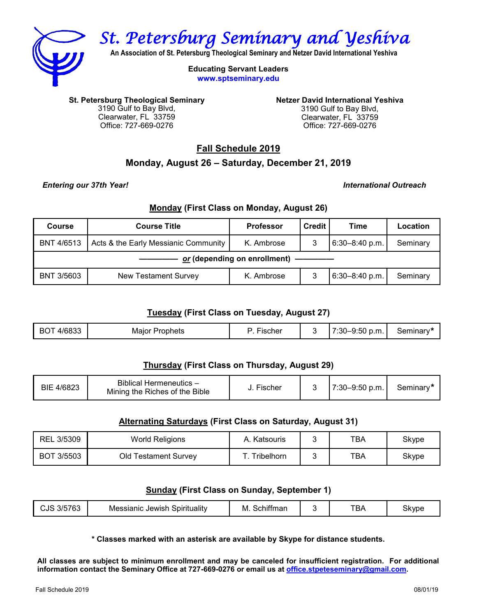

*St. Petersburg Seminary and Yeshiva* 

**An Association of St. Petersburg Theological Seminary and Netzer David International Yeshiva**

**Educating Servant Leaders www.sptseminary.edu**

**St. Petersburg Theological Seminary**  3190 Gulf to Bay Blvd, Clearwater, FL 33759 Office: 727-669-0276

**Netzer David International Yeshiva**  3190 Gulf to Bay Blvd, Clearwater, FL 33759 Office: 727-669-0276

**Fall Schedule 2019**

# **Monday, August 26 – Saturday, December 21, 2019**

*Entering our 37th Year! International Outreach*

### **Monday (First Class on Monday, August 26)**

| Course                       | <b>Course Title</b>                  | <b>Professor</b> | <b>Credit</b> | Time           | Location |
|------------------------------|--------------------------------------|------------------|---------------|----------------|----------|
| <b>BNT 4/6513</b>            | Acts & the Early Messianic Community | K. Ambrose       | 3             | 6:30-8:40 p.m. | Seminary |
| or (depending on enrollment) |                                      |                  |               |                |          |
| <b>BNT 3/5603</b>            | <b>New Testament Survey</b>          | K. Ambrose       | 3             | 6:30-8:40 p.m. | Seminary |

# **Tuesday (First Class on Tuesday, August 27)**

|  | ووه عل<br>BС<br>იიაა | Prophets<br>Maior | schel |  | 7:30–9.<br>"p.m.<br>∴ວ∪ | 7er<br>गा।।।।।। |
|--|----------------------|-------------------|-------|--|-------------------------|-----------------|
|--|----------------------|-------------------|-------|--|-------------------------|-----------------|

# **Thursday (First Class on Thursday, August 29)**

| BIE 4/6823 | Biblical Hermeneutics -<br>Mining the Riches of the Bible | $- \cdot$<br>. Fischer |  | $7:30 - 9:50$ p.m. | Seminary* |
|------------|-----------------------------------------------------------|------------------------|--|--------------------|-----------|
|------------|-----------------------------------------------------------|------------------------|--|--------------------|-----------|

## **Alternating Saturdays (First Class on Saturday, August 31)**

| REL 3/5309 | <b>World Religions</b>      | Katsouris         | тва | Skype |
|------------|-----------------------------|-------------------|-----|-------|
| BOT 3/5503 | <b>Old Testament Survey</b> | <b>Tribelhorn</b> | тва | Skype |

## **Sunday (First Class on Sunday, September 1)**

| 700<br>, L<br>ברי<br><b>JUU</b> UJ | .<br>Jewish<br>Spirituality<br>Messianic | .<br>tman<br>M<br><b>DCNIL</b> |  | <b>TBA</b> | <b>Skvpe</b> |
|------------------------------------|------------------------------------------|--------------------------------|--|------------|--------------|
|------------------------------------|------------------------------------------|--------------------------------|--|------------|--------------|

**\* Classes marked with an asterisk are available by Skype for distance students.**

**All classes are subject to minimum enrollment and may be canceled for insufficient registration. For additional information contact the Seminary Office at 727-669-0276 or email us at [office.stpeteseminary@gmail.com.](mailto:office.stpeteseminary@gmail.com)**